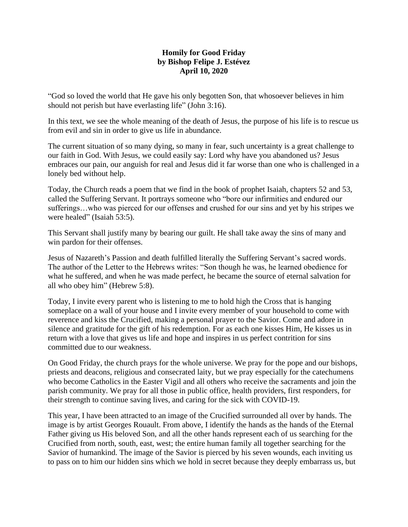## **Homily for Good Friday by Bishop Felipe J. Estévez April 10, 2020**

"God so loved the world that He gave his only begotten Son, that whosoever believes in him should not perish but have everlasting life" (John 3:16).

In this text, we see the whole meaning of the death of Jesus, the purpose of his life is to rescue us from evil and sin in order to give us life in abundance.

The current situation of so many dying, so many in fear, such uncertainty is a great challenge to our faith in God. With Jesus, we could easily say: Lord why have you abandoned us? Jesus embraces our pain, our anguish for real and Jesus did it far worse than one who is challenged in a lonely bed without help.

Today, the Church reads a poem that we find in the book of prophet Isaiah, chapters 52 and 53, called the Suffering Servant. It portrays someone who "bore our infirmities and endured our sufferings…who was pierced for our offenses and crushed for our sins and yet by his stripes we were healed" (Isaiah 53:5).

This Servant shall justify many by bearing our guilt. He shall take away the sins of many and win pardon for their offenses.

Jesus of Nazareth's Passion and death fulfilled literally the Suffering Servant's sacred words. The author of the Letter to the Hebrews writes: "Son though he was, he learned obedience for what he suffered, and when he was made perfect, he became the source of eternal salvation for all who obey him" (Hebrew 5:8).

Today, I invite every parent who is listening to me to hold high the Cross that is hanging someplace on a wall of your house and I invite every member of your household to come with reverence and kiss the Crucified, making a personal prayer to the Savior. Come and adore in silence and gratitude for the gift of his redemption. For as each one kisses Him, He kisses us in return with a love that gives us life and hope and inspires in us perfect contrition for sins committed due to our weakness.

On Good Friday, the church prays for the whole universe. We pray for the pope and our bishops, priests and deacons, religious and consecrated laity, but we pray especially for the catechumens who become Catholics in the Easter Vigil and all others who receive the sacraments and join the parish community. We pray for all those in public office, health providers, first responders, for their strength to continue saving lives, and caring for the sick with COVID-19.

This year, I have been attracted to an image of the Crucified surrounded all over by hands. The image is by artist Georges Rouault. From above, I identify the hands as the hands of the Eternal Father giving us His beloved Son, and all the other hands represent each of us searching for the Crucified from north, south, east, west; the entire human family all together searching for the Savior of humankind. The image of the Savior is pierced by his seven wounds, each inviting us to pass on to him our hidden sins which we hold in secret because they deeply embarrass us, but